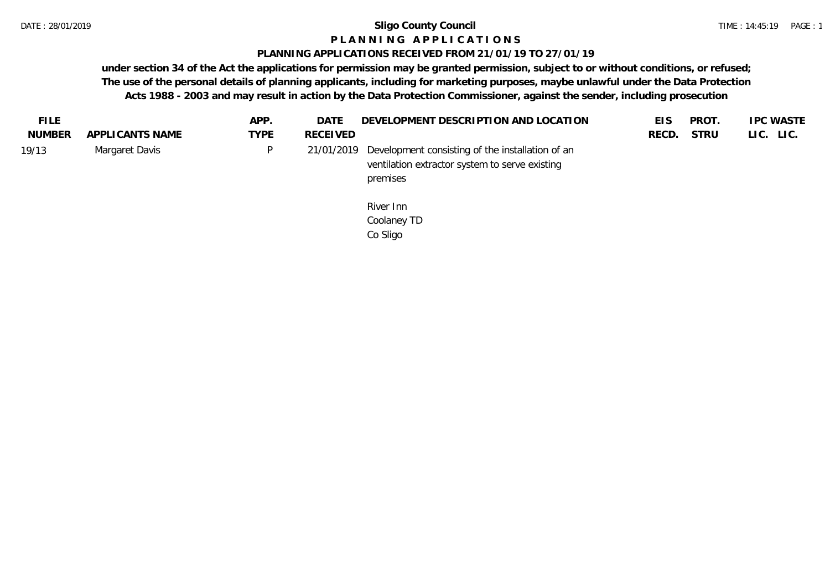## **P L A N N I N G A P P L I C A T I O N S**

#### **PLANNING APPLICATIONS RECEIVED FROM 21/01/19 TO 27/01/19**

| <b>FILE</b>   |                 | APP.        | DATE            | DEVELOPMENT DESCRIPTION AND LOCATION                                                                           | <b>EIS</b> | <b>PROT</b> | <b>IPC WASTE</b> |
|---------------|-----------------|-------------|-----------------|----------------------------------------------------------------------------------------------------------------|------------|-------------|------------------|
| <b>NUMBER</b> | APPLICANTS NAME | <b>TYPE</b> | <b>RECEIVED</b> |                                                                                                                | RECD.      | <b>STRU</b> | LIC. LIC.        |
| 19/13         | Margaret Davis  | D           | 21/01/2019      | Development consisting of the installation of an<br>ventilation extractor system to serve existing<br>premises |            |             |                  |
|               |                 |             |                 | River Inn<br>Coolaney TD<br>Co Sligo                                                                           |            |             |                  |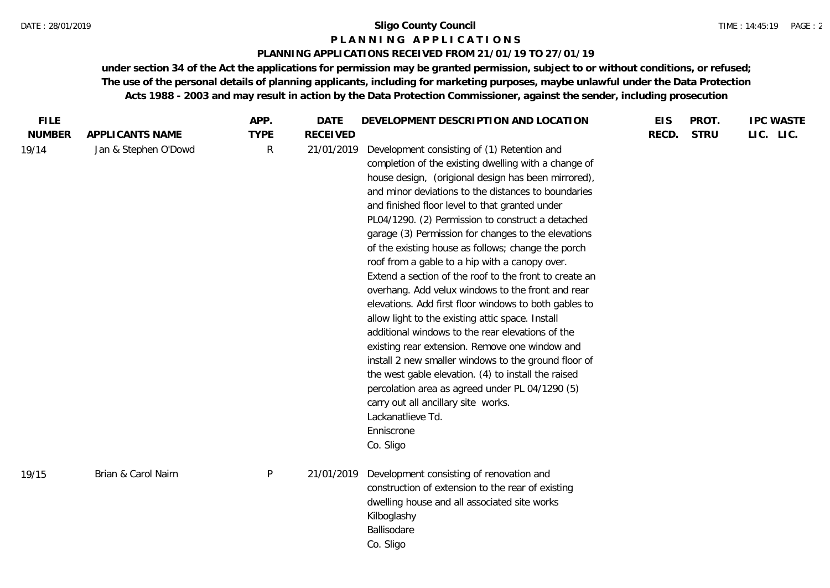#### **P L A N N I N G A P P L I C A T I O N S**

#### **PLANNING APPLICATIONS RECEIVED FROM 21/01/19 TO 27/01/19**

| <b>FILE</b>   |                      | APP.        | DATE            | DEVELOPMENT DESCRIPTION AND LOCATION                                                                                                                                                                                                                                                                                                                                                                                                                                                                                                                                                                                                                                                                                                                                                                                                                                                                                                                                                                                                                                               | <b>EIS</b> | PROT.       | <b>IPC WASTE</b> |
|---------------|----------------------|-------------|-----------------|------------------------------------------------------------------------------------------------------------------------------------------------------------------------------------------------------------------------------------------------------------------------------------------------------------------------------------------------------------------------------------------------------------------------------------------------------------------------------------------------------------------------------------------------------------------------------------------------------------------------------------------------------------------------------------------------------------------------------------------------------------------------------------------------------------------------------------------------------------------------------------------------------------------------------------------------------------------------------------------------------------------------------------------------------------------------------------|------------|-------------|------------------|
| <b>NUMBER</b> | APPLICANTS NAME      | <b>TYPE</b> | <b>RECEIVED</b> |                                                                                                                                                                                                                                                                                                                                                                                                                                                                                                                                                                                                                                                                                                                                                                                                                                                                                                                                                                                                                                                                                    | RECD.      | <b>STRU</b> | LIC. LIC.        |
| 19/14         | Jan & Stephen O'Dowd | R           | 21/01/2019      | Development consisting of (1) Retention and<br>completion of the existing dwelling with a change of<br>house design, (origional design has been mirrored),<br>and minor deviations to the distances to boundaries<br>and finished floor level to that granted under<br>PL04/1290. (2) Permission to construct a detached<br>garage (3) Permission for changes to the elevations<br>of the existing house as follows; change the porch<br>roof from a gable to a hip with a canopy over.<br>Extend a section of the roof to the front to create an<br>overhang. Add velux windows to the front and rear<br>elevations. Add first floor windows to both gables to<br>allow light to the existing attic space. Install<br>additional windows to the rear elevations of the<br>existing rear extension. Remove one window and<br>install 2 new smaller windows to the ground floor of<br>the west gable elevation. (4) to install the raised<br>percolation area as agreed under PL 04/1290 (5)<br>carry out all ancillary site works.<br>Lackanatlieve Td.<br>Enniscrone<br>Co. Sligo |            |             |                  |
| 19/15         | Brian & Carol Nairn  | P           | 21/01/2019      | Development consisting of renovation and<br>construction of extension to the rear of existing<br>dwelling house and all associated site works<br>Kilboglashy<br>Ballisodare<br>Co. Sligo                                                                                                                                                                                                                                                                                                                                                                                                                                                                                                                                                                                                                                                                                                                                                                                                                                                                                           |            |             |                  |
|               |                      |             |                 |                                                                                                                                                                                                                                                                                                                                                                                                                                                                                                                                                                                                                                                                                                                                                                                                                                                                                                                                                                                                                                                                                    |            |             |                  |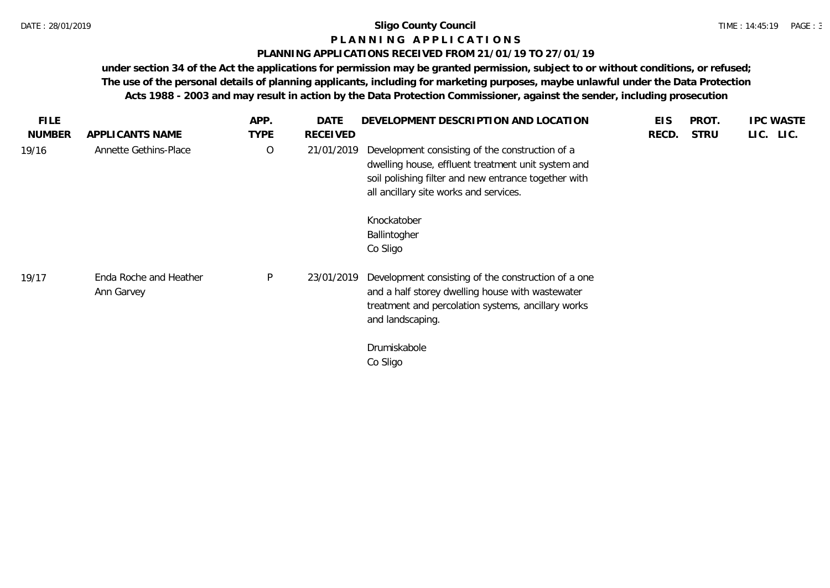#### **P L A N N I N G A P P L I C A T I O N S**

#### **PLANNING APPLICATIONS RECEIVED FROM 21/01/19 TO 27/01/19**

| <b>FILE</b>   |                                      | APP.        | <b>DATE</b>     | DEVELOPMENT DESCRIPTION AND LOCATION                                                                                                                                                                                                               | <b>EIS</b> | PROT.       | <b>IPC WASTE</b> |
|---------------|--------------------------------------|-------------|-----------------|----------------------------------------------------------------------------------------------------------------------------------------------------------------------------------------------------------------------------------------------------|------------|-------------|------------------|
| <b>NUMBER</b> | APPLICANTS NAME                      | <b>TYPE</b> | <b>RECEIVED</b> |                                                                                                                                                                                                                                                    | RECD.      | <b>STRU</b> | LIC. LIC.        |
| 19/16         | Annette Gethins-Place                | $\circ$     | 21/01/2019      | Development consisting of the construction of a<br>dwelling house, effluent treatment unit system and<br>soil polishing filter and new entrance together with<br>all ancillary site works and services.<br>Knockatober<br>Ballintogher<br>Co Sligo |            |             |                  |
| 19/17         | Enda Roche and Heather<br>Ann Garvey | P           | 23/01/2019      | Development consisting of the construction of a one<br>and a half storey dwelling house with wastewater<br>treatment and percolation systems, ancillary works<br>and landscaping.<br>Drumiskabole<br>Co Sligo                                      |            |             |                  |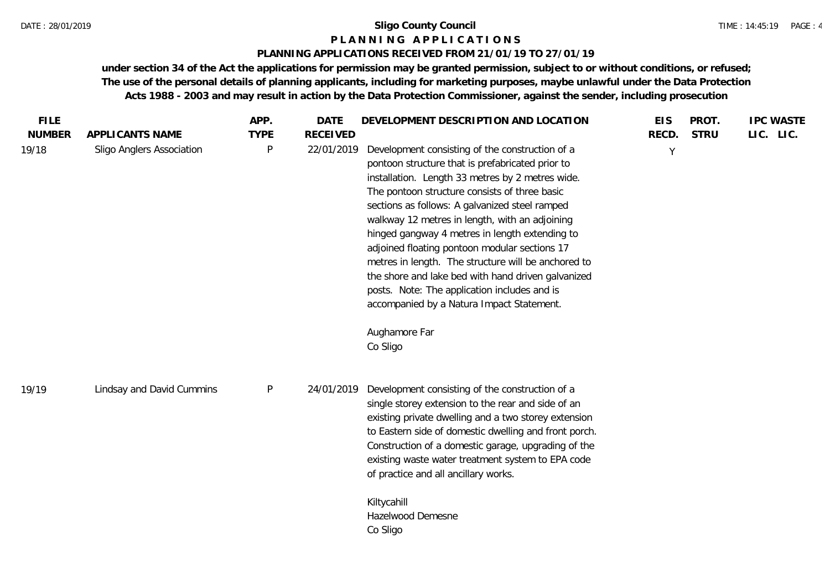#### **P L A N N I N G A P P L I C A T I O N S**

#### **PLANNING APPLICATIONS RECEIVED FROM 21/01/19 TO 27/01/19**

| <b>FILE</b>            |                                              | APP.                        | <b>DATE</b>                   | DEVELOPMENT DESCRIPTION AND LOCATION                                                                                                                                                                                                                                                                                                                                                                                                                                                                                                                                                                                                                   | <b>EIS</b> | PROT.<br><b>STRU</b> | <b>IPC WASTE</b> |
|------------------------|----------------------------------------------|-----------------------------|-------------------------------|--------------------------------------------------------------------------------------------------------------------------------------------------------------------------------------------------------------------------------------------------------------------------------------------------------------------------------------------------------------------------------------------------------------------------------------------------------------------------------------------------------------------------------------------------------------------------------------------------------------------------------------------------------|------------|----------------------|------------------|
| <b>NUMBER</b><br>19/18 | APPLICANTS NAME<br>Sligo Anglers Association | <b>TYPE</b><br>$\mathsf{P}$ | <b>RECEIVED</b><br>22/01/2019 | Development consisting of the construction of a<br>pontoon structure that is prefabricated prior to<br>installation. Length 33 metres by 2 metres wide.<br>The pontoon structure consists of three basic<br>sections as follows: A galvanized steel ramped<br>walkway 12 metres in length, with an adjoining<br>hinged gangway 4 metres in length extending to<br>adjoined floating pontoon modular sections 17<br>metres in length. The structure will be anchored to<br>the shore and lake bed with hand driven galvanized<br>posts. Note: The application includes and is<br>accompanied by a Natura Impact Statement.<br>Aughamore Far<br>Co Sligo | RECD.<br>Y |                      | LIC. LIC.        |
| 19/19                  | Lindsay and David Cummins                    | $\sf P$                     | 24/01/2019                    | Development consisting of the construction of a<br>single storey extension to the rear and side of an<br>existing private dwelling and a two storey extension<br>to Eastern side of domestic dwelling and front porch.<br>Construction of a domestic garage, upgrading of the<br>existing waste water treatment system to EPA code<br>of practice and all ancillary works.<br>Kiltycahill<br>Hazelwood Demesne<br>Co Sligo                                                                                                                                                                                                                             |            |                      |                  |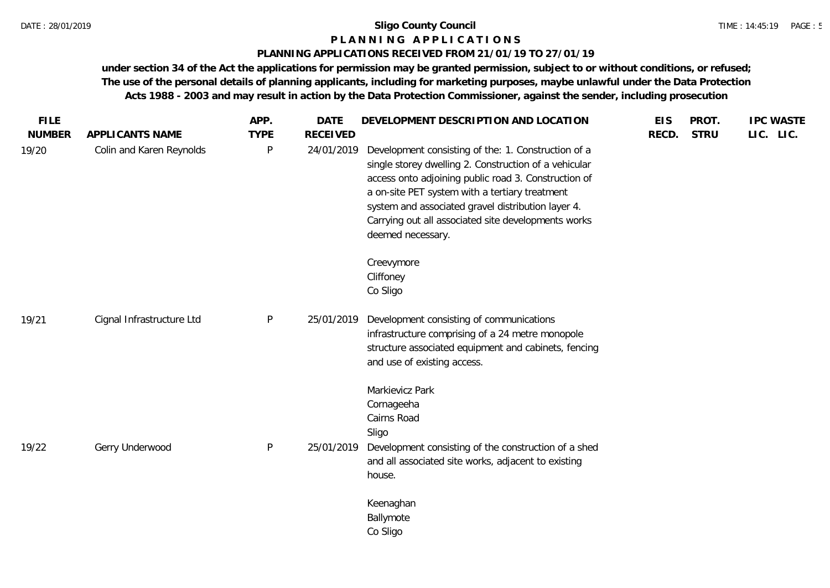#### **P L A N N I N G A P P L I C A T I O N S**

#### **PLANNING APPLICATIONS RECEIVED FROM 21/01/19 TO 27/01/19**

| <b>NUMBER</b> | APPLICANTS NAME           | <b>TYPE</b>  | <b>RECEIVED</b> |                                                                                                                                                                                                                                                                                                                                                          |       | <b>STRU</b> | LIC. LIC. |
|---------------|---------------------------|--------------|-----------------|----------------------------------------------------------------------------------------------------------------------------------------------------------------------------------------------------------------------------------------------------------------------------------------------------------------------------------------------------------|-------|-------------|-----------|
| 19/20         | Colin and Karen Reynolds  | $\mathsf{P}$ | 24/01/2019      | Development consisting of the: 1. Construction of a<br>single storey dwelling 2. Construction of a vehicular<br>access onto adjoining public road 3. Construction of<br>a on-site PET system with a tertiary treatment<br>system and associated gravel distribution layer 4.<br>Carrying out all associated site developments works<br>deemed necessary. | RECD. |             |           |
|               |                           |              |                 | Creevymore<br>Cliffoney<br>Co Sligo                                                                                                                                                                                                                                                                                                                      |       |             |           |
| 19/21         | Cignal Infrastructure Ltd | P            | 25/01/2019      | Development consisting of communications<br>infrastructure comprising of a 24 metre monopole<br>structure associated equipment and cabinets, fencing<br>and use of existing access.                                                                                                                                                                      |       |             |           |
| 19/22         | Gerry Underwood           | P            | 25/01/2019      | Markievicz Park<br>Cornageeha<br>Cairns Road<br>Sligo<br>Development consisting of the construction of a shed<br>and all associated site works, adjacent to existing                                                                                                                                                                                     |       |             |           |
|               |                           |              |                 | house.<br>Keenaghan<br>Ballymote<br>Co Sligo                                                                                                                                                                                                                                                                                                             |       |             |           |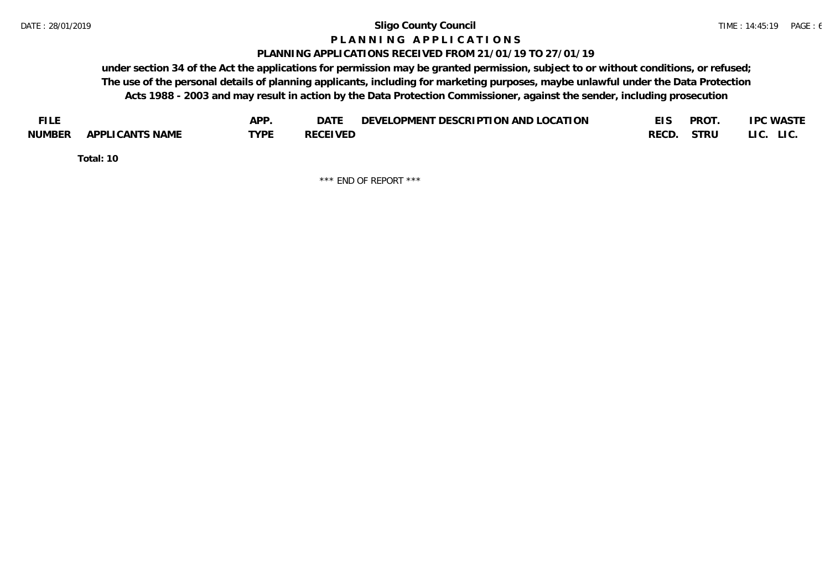#### **P L A N N I N G A P P L I C A T I O N S**

#### **PLANNING APPLICATIONS RECEIVED FROM 21/01/19 TO 27/01/19**

**under section 34 of the Act the applications for permission may be granted permission, subject to or without conditions, or refused; The use of the personal details of planning applicants, including for marketing purposes, maybe unlawful under the Data Protection Acts 1988 - 2003 and may result in action by the Data Protection Commissioner, against the sender, including prosecution**

| <b>FILE</b> |                 | <b>APP</b> | DATE            | DEVELOPMENT DESCRIPTION AND LOCATION | <b>PROT</b> | <b>IPC WASTE</b> |
|-------------|-----------------|------------|-----------------|--------------------------------------|-------------|------------------|
| NUMBER      | APPLICANTS NAME | TYPF       | <b>RECEIVED</b> |                                      | RECD. STRU  | LI C.<br>LIC.    |

**Total: 10**

\*\*\* END OF REPORT \*\*\*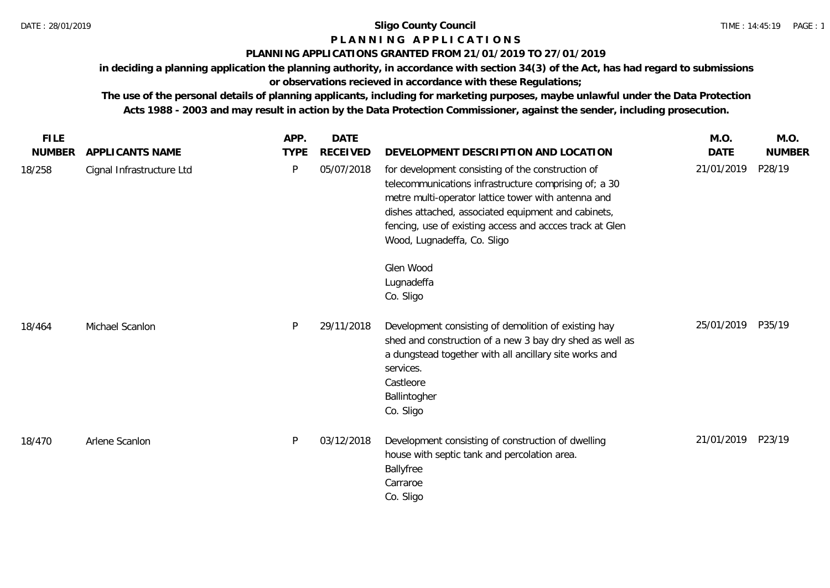## **P L A N N I N G A P P L I C A T I O N S**

#### **PLANNING APPLICATIONS GRANTED FROM 21/01/2019 TO 27/01/2019**

**in deciding a planning application the planning authority, in accordance with section 34(3) of the Act, has had regard to submissions or observations recieved in accordance with these Regulations;**

**The use of the personal details of planning applicants, including for marketing purposes, maybe unlawful under the Data Protection Acts 1988 - 2003 and may result in action by the Data Protection Commissioner, against the sender, including prosecution.**

| <b>FILE</b>   |                           | APP.        | <b>DATE</b>     |                                                                                                                                                                                                                                                                                                                     | M.O.              | M.O.          |
|---------------|---------------------------|-------------|-----------------|---------------------------------------------------------------------------------------------------------------------------------------------------------------------------------------------------------------------------------------------------------------------------------------------------------------------|-------------------|---------------|
| <b>NUMBER</b> | APPLICANTS NAME           | <b>TYPE</b> | <b>RECEIVED</b> | DEVELOPMENT DESCRIPTION AND LOCATION                                                                                                                                                                                                                                                                                | <b>DATE</b>       | <b>NUMBER</b> |
| 18/258        | Cignal Infrastructure Ltd | P           | 05/07/2018      | for development consisting of the construction of<br>telecommunications infrastructure comprising of; a 30<br>metre multi-operator lattice tower with antenna and<br>dishes attached, associated equipment and cabinets,<br>fencing, use of existing access and accces track at Glen<br>Wood, Lugnadeffa, Co. Sligo | 21/01/2019        | P28/19        |
|               |                           |             |                 | Glen Wood<br>Lugnadeffa<br>Co. Sligo                                                                                                                                                                                                                                                                                |                   |               |
| 18/464        | Michael Scanlon           | P           | 29/11/2018      | Development consisting of demolition of existing hay<br>shed and construction of a new 3 bay dry shed as well as<br>a dungstead together with all ancillary site works and<br>services.<br>Castleore<br>Ballintogher<br>Co. Sligo                                                                                   | 25/01/2019        | P35/19        |
| 18/470        | Arlene Scanlon            | P           | 03/12/2018      | Development consisting of construction of dwelling<br>house with septic tank and percolation area.<br>Ballyfree<br>Carraroe<br>Co. Sligo                                                                                                                                                                            | 21/01/2019 P23/19 |               |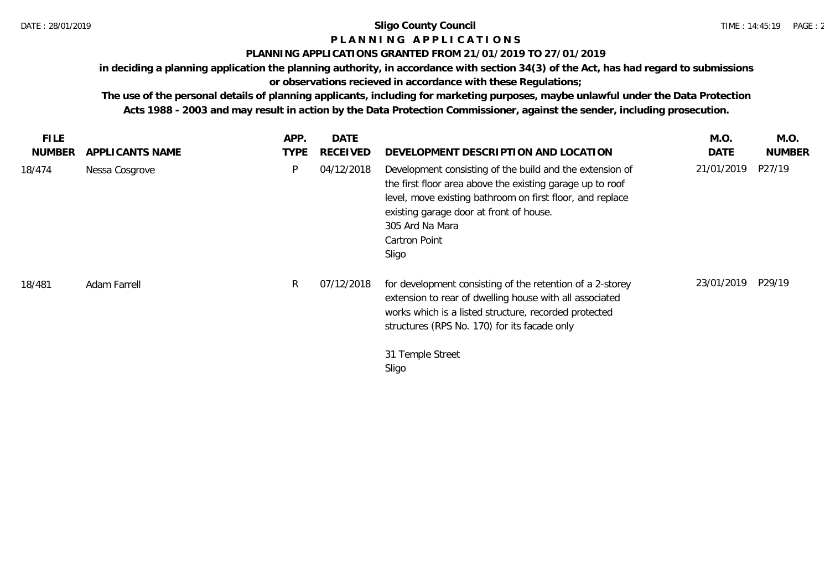# **P L A N N I N G A P P L I C A T I O N S**

## **PLANNING APPLICATIONS GRANTED FROM 21/01/2019 TO 27/01/2019**

**in deciding a planning application the planning authority, in accordance with section 34(3) of the Act, has had regard to submissions or observations recieved in accordance with these Regulations;**

**The use of the personal details of planning applicants, including for marketing purposes, maybe unlawful under the Data Protection Acts 1988 - 2003 and may result in action by the Data Protection Commissioner, against the sender, including prosecution.**

| <b>FILE</b><br><b>NUMBER</b> | APPLICANTS NAME | APP.<br><b>TYPE</b> | <b>DATE</b><br><b>RECEIVED</b> | DEVELOPMENT DESCRIPTION AND LOCATION                                                                                                                                                                                                                                       | M.O.<br>DATE | M.O.<br><b>NUMBER</b> |
|------------------------------|-----------------|---------------------|--------------------------------|----------------------------------------------------------------------------------------------------------------------------------------------------------------------------------------------------------------------------------------------------------------------------|--------------|-----------------------|
| 18/474                       | Nessa Cosgrove  | Þ                   | 04/12/2018                     | Development consisting of the build and the extension of<br>the first floor area above the existing garage up to roof<br>level, move existing bathroom on first floor, and replace<br>existing garage door at front of house.<br>305 Ard Na Mara<br>Cartron Point<br>Sligo | 21/01/2019   | P27/19                |
| 18/481                       | Adam Farrell    | R                   | 07/12/2018                     | for development consisting of the retention of a 2-storey<br>extension to rear of dwelling house with all associated<br>works which is a listed structure, recorded protected<br>structures (RPS No. 170) for its facade only<br>31 Temple Street<br>Sligo                 | 23/01/2019   | P29/19                |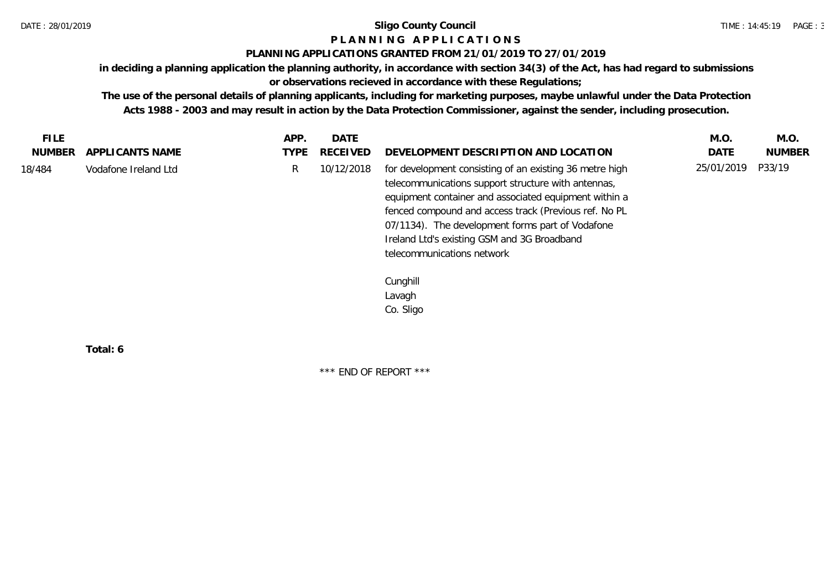### **P L A N N I N G A P P L I C A T I O N S**

#### **PLANNING APPLICATIONS GRANTED FROM 21/01/2019 TO 27/01/2019**

**in deciding a planning application the planning authority, in accordance with section 34(3) of the Act, has had regard to submissions** 

**or observations recieved in accordance with these Regulations;**

**The use of the personal details of planning applicants, including for marketing purposes, maybe unlawful under the Data Protection Acts 1988 - 2003 and may result in action by the Data Protection Commissioner, against the sender, including prosecution.**

| <b>FILE</b>   |                      | APP. | <b>DATE</b> |                                                                                                                                                                                                                                                                                                                                                                   | M.O.       | M.O.          |
|---------------|----------------------|------|-------------|-------------------------------------------------------------------------------------------------------------------------------------------------------------------------------------------------------------------------------------------------------------------------------------------------------------------------------------------------------------------|------------|---------------|
| <b>NUMBER</b> | APPLICANTS NAME      | TYPE | RECEIVED    | DEVELOPMENT DESCRIPTION AND LOCATION                                                                                                                                                                                                                                                                                                                              | DATE       | <b>NUMBER</b> |
| 18/484        | Vodafone Ireland Ltd | R    | 10/12/2018  | for development consisting of an existing 36 metre high<br>telecommunications support structure with antennas,<br>equipment container and associated equipment within a<br>fenced compound and access track (Previous ref. No PL<br>07/1134). The development forms part of Vodafone<br>Ireland Ltd's existing GSM and 3G Broadband<br>telecommunications network | 25/01/2019 | P33/19        |
|               |                      |      |             | Cunghill                                                                                                                                                                                                                                                                                                                                                          |            |               |
|               |                      |      |             | Lavagh                                                                                                                                                                                                                                                                                                                                                            |            |               |
|               |                      |      |             | Co. Sligo                                                                                                                                                                                                                                                                                                                                                         |            |               |

**Total: 6**

\*\*\* END OF REPORT \*\*\*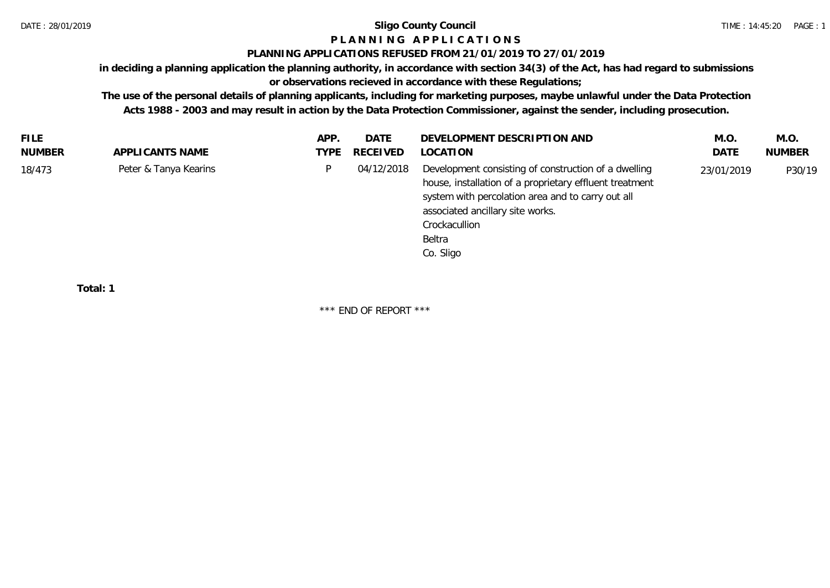## **P L A N N I N G A P P L I C A T I O N S**

#### **PLANNING APPLICATIONS REFUSED FROM 21/01/2019 TO 27/01/2019**

**in deciding a planning application the planning authority, in accordance with section 34(3) of the Act, has had regard to submissions** 

## **or observations recieved in accordance with these Regulations;**

**The use of the personal details of planning applicants, including for marketing purposes, maybe unlawful under the Data Protection Acts 1988 - 2003 and may result in action by the Data Protection Commissioner, against the sender, including prosecution.**

| <b>FILE</b>                     | APP. | DATE       | DEVELOPMENT DESCRIPTION AND                                                                                                                                                                                                                      | M.O        | M.O.          |
|---------------------------------|------|------------|--------------------------------------------------------------------------------------------------------------------------------------------------------------------------------------------------------------------------------------------------|------------|---------------|
| NUMBER<br>APPLICANTS NAME       | TYPE | RECEIVED   | LOCATION                                                                                                                                                                                                                                         | DATE       | <b>NUMBER</b> |
| Peter & Tanya Kearins<br>18/473 | D.   | 04/12/2018 | Development consisting of construction of a dwelling<br>house, installation of a proprietary effluent treatment<br>system with percolation area and to carry out all<br>associated ancillary site works.<br>Crockacullion<br>Beltra<br>Co. Sligo | 23/01/2019 | P30/19        |

**Total: 1**

\*\*\* END OF REPORT \*\*\*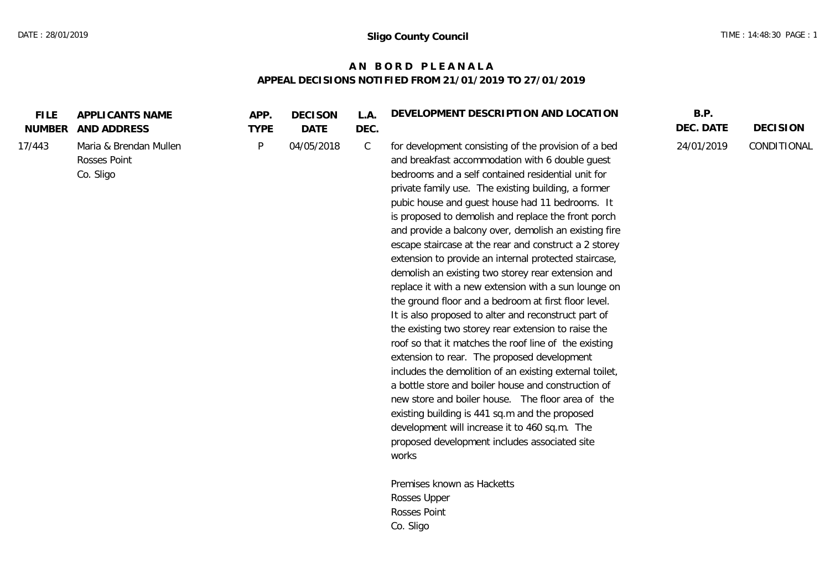## **A N B O R D P L E A N A L A APPEAL DECISIONS NOTIFIED FROM 21/01/2019 TO 27/01/2019**

| <b>FILE</b><br><b>NUMBER</b> | APPLICANTS NAME<br>AND ADDRESS                      | APP.<br><b>TYPE</b> | <b>DECISON</b><br><b>DATE</b> | L.A.<br>DEC. | DEVELOPMENT DESCRIPTION AND LOCATION                                                                                                                                                                                                                                                                                                                                                                                                                                                                                                                                                                                                                                                                                                                                                                                                                                                                                                                                                                                                                                                                                                                                                                                                       | B.P.<br>DEC. DATE | <b>DECISION</b> |
|------------------------------|-----------------------------------------------------|---------------------|-------------------------------|--------------|--------------------------------------------------------------------------------------------------------------------------------------------------------------------------------------------------------------------------------------------------------------------------------------------------------------------------------------------------------------------------------------------------------------------------------------------------------------------------------------------------------------------------------------------------------------------------------------------------------------------------------------------------------------------------------------------------------------------------------------------------------------------------------------------------------------------------------------------------------------------------------------------------------------------------------------------------------------------------------------------------------------------------------------------------------------------------------------------------------------------------------------------------------------------------------------------------------------------------------------------|-------------------|-----------------|
| 17/443                       | Maria & Brendan Mullen<br>Rosses Point<br>Co. Sligo | P                   | 04/05/2018                    | $\mathsf C$  | for development consisting of the provision of a bed<br>and breakfast accommodation with 6 double guest<br>bedrooms and a self contained residential unit for<br>private family use. The existing building, a former<br>pubic house and guest house had 11 bedrooms. It<br>is proposed to demolish and replace the front porch<br>and provide a balcony over, demolish an existing fire<br>escape staircase at the rear and construct a 2 storey<br>extension to provide an internal protected staircase,<br>demolish an existing two storey rear extension and<br>replace it with a new extension with a sun lounge on<br>the ground floor and a bedroom at first floor level.<br>It is also proposed to alter and reconstruct part of<br>the existing two storey rear extension to raise the<br>roof so that it matches the roof line of the existing<br>extension to rear. The proposed development<br>includes the demolition of an existing external toilet,<br>a bottle store and boiler house and construction of<br>new store and boiler house. The floor area of the<br>existing building is 441 sq.m and the proposed<br>development will increase it to 460 sq.m. The<br>proposed development includes associated site<br>works | 24/01/2019        | CONDITIONAL     |
|                              |                                                     |                     |                               |              | Premises known as Hacketts<br>Rosses Upper                                                                                                                                                                                                                                                                                                                                                                                                                                                                                                                                                                                                                                                                                                                                                                                                                                                                                                                                                                                                                                                                                                                                                                                                 |                   |                 |
|                              |                                                     |                     |                               |              |                                                                                                                                                                                                                                                                                                                                                                                                                                                                                                                                                                                                                                                                                                                                                                                                                                                                                                                                                                                                                                                                                                                                                                                                                                            |                   |                 |

Co. Sligo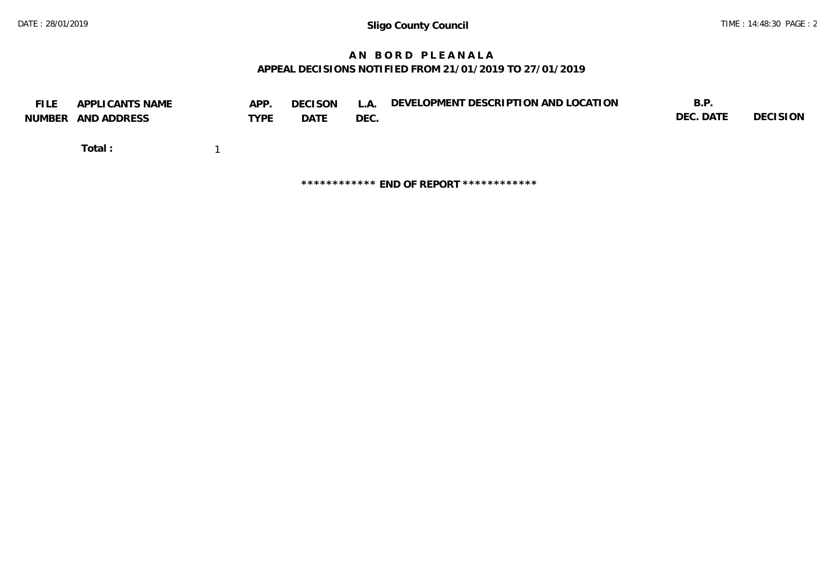## **A N B O R D P L E A N A L A APPEAL DECISIONS NOTIFIED FROM 21/01/2019 TO 27/01/2019**

| <b>FILE</b> | APPLICANTS NAME<br>NUMBER AND ADDRESS | APP.<br>TYPE | <b>DECISON</b><br>DATE | L.A.<br>DEC. | DEVELOPMENT DESCRIPTION AND LOCATION    | B.P.<br>DEC. DATE | DECISION |
|-------------|---------------------------------------|--------------|------------------------|--------------|-----------------------------------------|-------------------|----------|
|             | Total:                                |              |                        |              |                                         |                   |          |
|             |                                       |              |                        |              | ************ END OF REPORT ************ |                   |          |